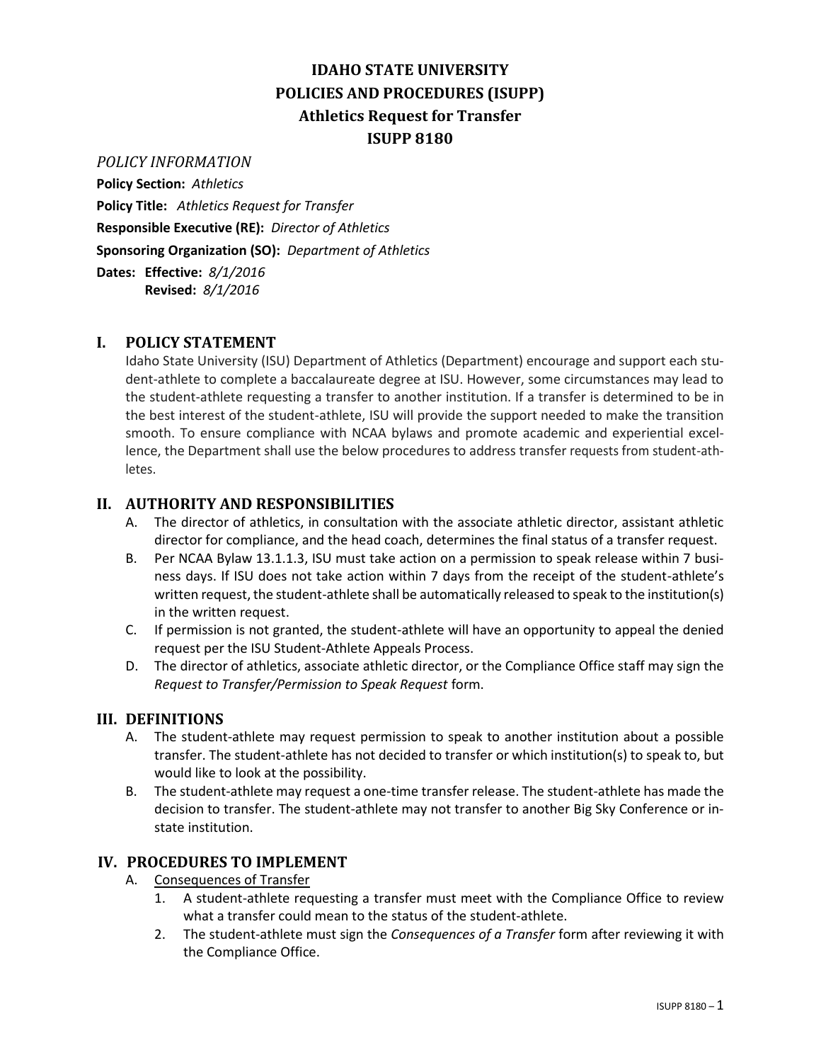# **IDAHO STATE UNIVERSITY POLICIES AND PROCEDURES (ISUPP) Athletics Request for Transfer ISUPP 8180**

## *POLICY INFORMATION*

**Policy Section:** *Athletics*

**Policy Title:** *Athletics Request for Transfer* **Responsible Executive (RE):** *Director of Athletics* **Sponsoring Organization (SO):** *Department of Athletics*

**Dates: Effective:** *8/1/2016* **Revised:** *8/1/2016*

## **I. POLICY STATEMENT**

Idaho State University (ISU) Department of Athletics (Department) encourage and support each student-athlete to complete a baccalaureate degree at ISU. However, some circumstances may lead to the student-athlete requesting a transfer to another institution. If a transfer is determined to be in the best interest of the student-athlete, ISU will provide the support needed to make the transition smooth. To ensure compliance with NCAA bylaws and promote academic and experiential excellence, the Department shall use the below procedures to address transfer requests from student-athletes.

## **II. AUTHORITY AND RESPONSIBILITIES**

- A. The director of athletics, in consultation with the associate athletic director, assistant athletic director for compliance, and the head coach, determines the final status of a transfer request.
- B. Per NCAA Bylaw 13.1.1.3, ISU must take action on a permission to speak release within 7 business days. If ISU does not take action within 7 days from the receipt of the student-athlete's written request, the student-athlete shall be automatically released to speak to the institution(s) in the written request.
- C. If permission is not granted, the student-athlete will have an opportunity to appeal the denied request per the ISU Student-Athlete Appeals Process.
- D. The director of athletics, associate athletic director, or the Compliance Office staff may sign the *Request to Transfer/Permission to Speak Request* form.

#### **III. DEFINITIONS**

- A. The student-athlete may request permission to speak to another institution about a possible transfer. The student-athlete has not decided to transfer or which institution(s) to speak to, but would like to look at the possibility.
- B. The student-athlete may request a one-time transfer release. The student-athlete has made the decision to transfer. The student-athlete may not transfer to another Big Sky Conference or instate institution.

#### **IV. PROCEDURES TO IMPLEMENT**

- A. Consequences of Transfer
	- 1. A student-athlete requesting a transfer must meet with the Compliance Office to review what a transfer could mean to the status of the student-athlete.
	- 2. The student-athlete must sign the *Consequences of a Transfer* form after reviewing it with the Compliance Office.